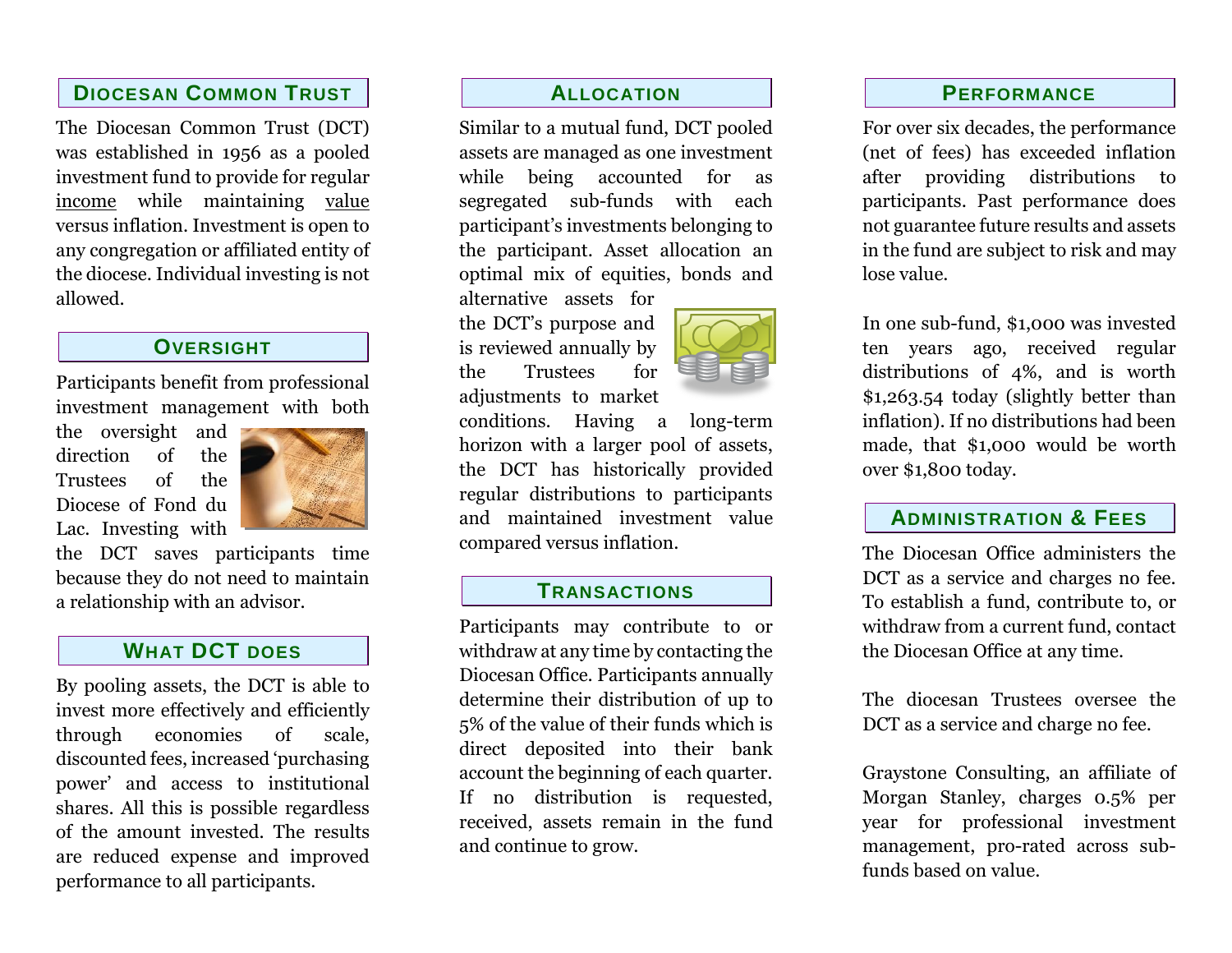### **DIOCESAN COMMON TRUST**

The Diocesan Common Trust (DCT) was established in 1956 as a pooled investment fund to provide for regular income while maintaining value versus inflation. Investment is open to any congregation or affiliated entity of the diocese. Individual investing is not allowed.

### **OVERSIGHT**

Participants benefit from professional investment management with both

the oversight and direction of the Trustees of the Diocese of Fond du Lac. Investing with



the DCT saves participants time because they do not need to maintain a relationship with an advisor.

### **WHAT DCT DOES**

By pooling assets, the DCT is able to invest more effectively and efficiently through economies of scale, discounted fees, increased 'purchasing power' and access to institutional shares. All this is possible regardless of the amount invested. The results are reduced expense and improved performance to all participants.

### **ALLOCATION**

Similar to a mutual fund, DCT pooled assets are managed as one investment while being accounted for as segregated sub-funds with each participant's investments belonging to the participant. Asset allocation an optimal mix of equities, bonds and

alternative assets for the DCT's purpose and is reviewed annually by the Trustees for

adjustments to market

conditions. Having a long-term horizon with a larger pool of assets, the DCT has historically provided regular distributions to participants and maintained investment value compared versus inflation.

### **TRANSACTIONS**

Participants may contribute to or withdraw at any time by contacting the Diocesan Office. Participants annually determine their distribution of up to 5% of the value of their funds which is direct deposited into their bank account the beginning of each quarter. If no distribution is requested, received, assets remain in the fund and continue to grow.



For over six decades, the performance (net of fees) has exceeded inflation after providing distributions to participants. Past performance does not guarantee future results and assets in the fund are subject to risk and may lose value.

In one sub-fund, \$1,000 was invested ten years ago, received regular distributions of 4%, and is worth \$1,263.54 today (slightly better than inflation). If no distributions had been made, that \$1,000 would be worth over \$1,800 today.

### **ADMINISTRATION & FEES**

The Diocesan Office administers the DCT as a service and charges no fee. To establish a fund, contribute to, or withdraw from a current fund, contact the Diocesan Office at any time.

The diocesan Trustees oversee the DCT as a service and charge no fee.

Graystone Consulting, an affiliate of Morgan Stanley, charges 0.5% per year for professional investment management, pro-rated across subfunds based on value.